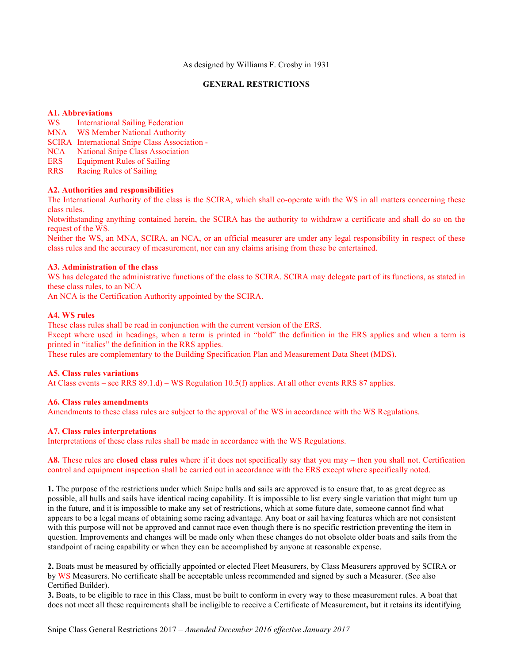As designed by Williams F. Crosby in 1931

### **GENERAL RESTRICTIONS**

### **A1. Abbreviations**

- WS International Sailing Federation
- MNA WS Member National Authority
- SCIRA International Snipe Class Association -
- NCA National Snipe Class Association
- ERS Equipment Rules of Sailing
- RRS Racing Rules of Sailing

### **A2. Authorities and responsibilities**

The International Authority of the class is the SCIRA, which shall co-operate with the WS in all matters concerning these class rules.

Notwithstanding anything contained herein, the SCIRA has the authority to withdraw a certificate and shall do so on the request of the WS.

Neither the WS, an MNA, SCIRA, an NCA, or an official measurer are under any legal responsibility in respect of these class rules and the accuracy of measurement, nor can any claims arising from these be entertained.

### **A3. Administration of the class**

WS has delegated the administrative functions of the class to SCIRA. SCIRA may delegate part of its functions, as stated in these class rules, to an NCA

An NCA is the Certification Authority appointed by the SCIRA.

### **A4. WS rules**

These class rules shall be read in conjunction with the current version of the ERS.

Except where used in headings, when a term is printed in "bold" the definition in the ERS applies and when a term is printed in "italics" the definition in the RRS applies.

These rules are complementary to the Building Specification Plan and Measurement Data Sheet (MDS).

#### **A5. Class rules variations**

At Class events – see RRS 89.1.d) – WS Regulation 10.5(f) applies. At all other events RRS 87 applies.

#### **A6. Class rules amendments**

Amendments to these class rules are subject to the approval of the WS in accordance with the WS Regulations.

#### **A7. Class rules interpretations**

Interpretations of these class rules shall be made in accordance with the WS Regulations.

#### **A8.** These rules are **closed class rules** where if it does not specifically say that you may – then you shall not. Certification control and equipment inspection shall be carried out in accordance with the ERS except where specifically noted.

**1.** The purpose of the restrictions under which Snipe hulls and sails are approved is to ensure that, to as great degree as possible, all hulls and sails have identical racing capability. It is impossible to list every single variation that might turn up in the future, and it is impossible to make any set of restrictions, which at some future date, someone cannot find what appears to be a legal means of obtaining some racing advantage. Any boat or sail having features which are not consistent with this purpose will not be approved and cannot race even though there is no specific restriction preventing the item in question. Improvements and changes will be made only when these changes do not obsolete older boats and sails from the standpoint of racing capability or when they can be accomplished by anyone at reasonable expense.

**2.** Boats must be measured by officially appointed or elected Fleet Measurers, by Class Measurers approved by SCIRA or by WS Measurers. No certificate shall be acceptable unless recommended and signed by such a Measurer. (See also Certified Builder).

**3.** Boats, to be eligible to race in this Class, must be built to conform in every way to these measurement rules. A boat that does not meet all these requirements shall be ineligible to receive a Certificate of Measurement**,** but it retains its identifying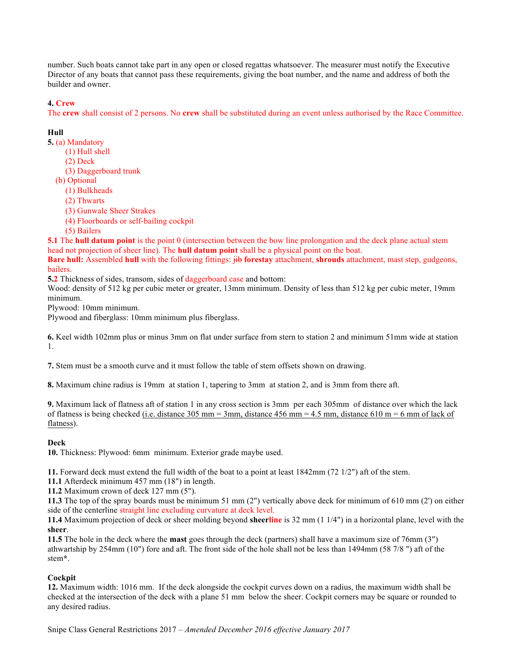number. Such boats cannot take part in any open or closed regattas whatsoever. The measurer must notify the Executive Director of any boats that cannot pass these requirements, giving the boat number, and the name and address of both the builder and owner.

# **4. Crew**

The **crew** shall consist of 2 persons. No **crew** shall be substituted during an event unless authorised by the Race Committee.

# **Hull**

**5.** (a) Mandatory

- (1) Hull shell
	- (2) Deck
	- (3) Daggerboard trunk
- (b) Optional
	- (1) Bulkheads
	- (2) Thwarts
	- (3) Gunwale Sheer Strakes
	- (4) Floorboards or self-bailing cockpit
	- (5) Bailers

**5.1** The **hull datum point** is the point 0 (intersection between the bow line prolongation and the deck plane actual stem head not projection of sheer line). The **hull datum point** shall be a physical point on the boat.

**Bare hull:** Assembled **hull** with the following fittings:  $\frac{1}{10}$  **forestay** attachment, **shrouds** attachment, mast step, gudgeons, bailers.

**5.2** Thickness of sides, transom, sides of daggerboard case and bottom:

Wood: density of 512 kg per cubic meter or greater, 13mm minimum. Density of less than 512 kg per cubic meter, 19mm minimum.

Plywood: 10mm minimum.

Plywood and fiberglass: 10mm minimum plus fiberglass.

**6.** Keel width 102mm plus or minus 3mm on flat under surface from stern to station 2 and minimum 51mm wide at station 1.

**7.** Stem must be a smooth curve and it must follow the table of stem offsets shown on drawing.

**8.** Maximum chine radius is 19mm at station 1, tapering to 3mm at station 2, and is 3mm from there aft.

**9.** Maximum lack of flatness aft of station 1 in any cross section is 3mm per each 305mm of distance over which the lack of flatness is being checked (i.e. distance 305 mm = 3mm, distance 456 mm = 4.5 mm, distance 610 m = 6 mm of lack of flatness).

# **Deck**

**10.** Thickness: Plywood: 6mm minimum. Exterior grade maybe used.

**11.** Forward deck must extend the full width of the boat to a point at least 1842mm (72 1/2") aft of the stem.

**11.1** Afterdeck minimum 457 mm (18") in length.

**11.2** Maximum crown of deck 127 mm (5").

**11.3** The top of the spray boards must be minimum 51 mm (2") vertically above deck for minimum of 610 mm (2') on either side of the centerline straight line excluding curvature at deck level.

**11.4** Maximum projection of deck or sheer molding beyond **sheerline** is 32 mm (1 1/4") in a horizontal plane, level with the **sheer**.

**11.5** The hole in the deck where the **mast** goes through the deck (partners) shall have a maximum size of 76mm (3") athwartship by 254mm (10") fore and aft. The front side of the hole shall not be less than 1494mm (58 7/8 ") aft of the stem**\***.

# **Cockpit**

**12.** Maximum width: 1016 mm. If the deck alongside the cockpit curves down on a radius, the maximum width shall be checked at the intersection of the deck with a plane 51 mm below the sheer. Cockpit corners may be square or rounded to any desired radius.

Snipe Class General Restrictions 2017 – *Amended December 2016 effective January 2017*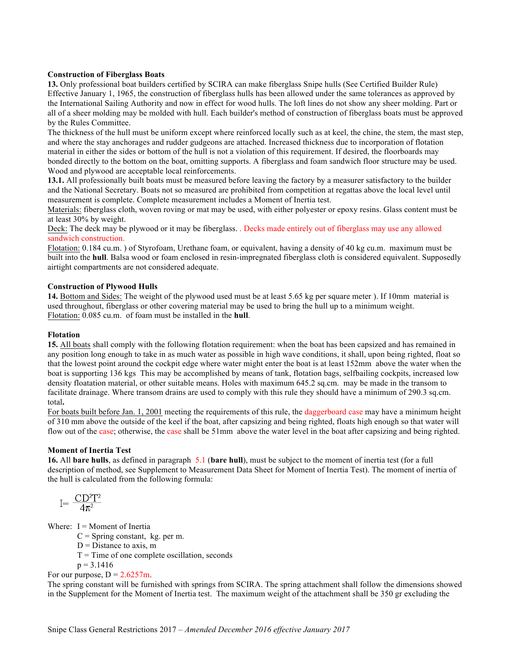#### **Construction of Fiberglass Boats**

**13.** Only professional boat builders certified by SCIRA can make fiberglass Snipe hulls (See Certified Builder Rule) Effective January 1, 1965, the construction of fiberglass hulls has been allowed under the same tolerances as approved by the International Sailing Authority and now in effect for wood hulls. The loft lines do not show any sheer molding. Part or all of a sheer molding may be molded with hull. Each builder's method of construction of fiberglass boats must be approved by the Rules Committee.

The thickness of the hull must be uniform except where reinforced locally such as at keel, the chine, the stem, the mast step, and where the stay anchorages and rudder gudgeons are attached. Increased thickness due to incorporation of flotation material in either the sides or bottom of the hull is not a violation of this requirement. If desired, the floorboards may bonded directly to the bottom on the boat, omitting supports. A fiberglass and foam sandwich floor structure may be used. Wood and plywood are acceptable local reinforcements.

**13.1.** All professionally built boats must be measured before leaving the factory by a measurer satisfactory to the builder and the National Secretary. Boats not so measured are prohibited from competition at regattas above the local level until measurement is complete. Complete measurement includes a Moment of Inertia test.

Materials: fiberglass cloth, woven roving or mat may be used, with either polyester or epoxy resins. Glass content must be at least 30% by weight.

Deck: The deck may be plywood or it may be fiberglass. . Decks made entirely out of fiberglass may use any allowed sandwich construction.

Flotation: 0.184 cu.m. ) of Styrofoam, Urethane foam, or equivalent, having a density of 40 kg cu.m. maximum must be built into the **hull**. Balsa wood or foam enclosed in resin-impregnated fiberglass cloth is considered equivalent. Supposedly airtight compartments are not considered adequate.

### **Construction of Plywood Hulls**

**14.** Bottom and Sides: The weight of the plywood used must be at least 5.65 kg per square meter ). If 10mm material is used throughout, fiberglass or other covering material may be used to bring the hull up to a minimum weight. Flotation: 0.085 cu.m. of foam must be installed in the **hull**.

#### **Flotation**

**15.** All boats shall comply with the following flotation requirement: when the boat has been capsized and has remained in any position long enough to take in as much water as possible in high wave conditions, it shall, upon being righted, float so that the lowest point around the cockpit edge where water might enter the boat is at least 152mm above the water when the boat is supporting 136 kgs This may be accomplished by means of tank, flotation bags, selfbailing cockpits, increased low density floatation material, or other suitable means. Holes with maximum 645.2 sq.cm. may be made in the transom to facilitate drainage. Where transom drains are used to comply with this rule they should have a minimum of 290.3 sq.cm. total**.**

For boats built before Jan. 1, 2001 meeting the requirements of this rule, the daggerboard case may have a minimum height of 310 mm above the outside of the keel if the boat, after capsizing and being righted, floats high enough so that water will flow out of the case; otherwise, the case shall be 51mm above the water level in the boat after capsizing and being righted.

### **Moment of Inertia Test**

**16.** All **bare hulls**, as defined in paragraph 5.1 (**bare hull**), must be subject to the moment of inertia test (for a full description of method, see Supplement to Measurement Data Sheet for Moment of Inertia Test). The moment of inertia of the hull is calculated from the following formula:

$$
I = \frac{CD^2T^2}{4\pi^2}
$$

Where:  $I =$  Moment of Inertia

 $C =$  Spring constant, kg. per m.

 $D = Distance to axis, m$ 

 $T =$ Time of one complete oscillation, seconds

 $p = 3.1416$ 

For our purpose,  $D = 2.6257$ m.

The spring constant will be furnished with springs from SCIRA. The spring attachment shall follow the dimensions showed in the Supplement for the Moment of Inertia test. The maximum weight of the attachment shall be 350 gr excluding the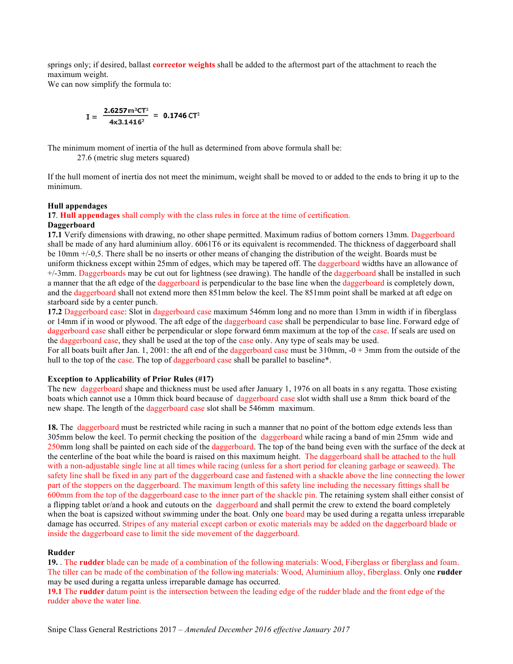springs only; if desired, ballast **corrector weights** shall be added to the aftermost part of the attachment to reach the maximum weight.

We can now simplify the formula to:

$$
I = \frac{2.6257 \text{ m}^2 \text{CT}^2}{4 \times 3.1416^2} = 0.1746 \text{ CT}^2
$$

The minimum moment of inertia of the hull as determined from above formula shall be:

27.6 (metric slug meters squared)

If the hull moment of inertia dos not meet the minimum, weight shall be moved to or added to the ends to bring it up to the minimum.

#### **Hull appendages**

#### **17**. **Hull appendages** shall comply with the class rules in force at the time of certification. **Daggerboard**

**17.1** Verify dimensions with drawing, no other shape permitted. Maximum radius of bottom corners 13mm. Daggerboard shall be made of any hard aluminium alloy. 6061T6 or its equivalent is recommended. The thickness of daggerboard shall be 10mm +/-0,5. There shall be no inserts or other means of changing the distribution of the weight. Boards must be uniform thickness except within 25mm of edges, which may be tapered off. The daggerboard widths have an allowance of +/-3mm. Daggerboards may be cut out for lightness (see drawing). The handle of the daggerboard shall be installed in such a manner that the aft edge of the daggerboard is perpendicular to the base line when the daggerboard is completely down, and the daggerboard shall not extend more then 851mm below the keel. The 851mm point shall be marked at aft edge on starboard side by a center punch.

**17.2** Daggerboard case: Slot in daggerboard case maximum 546mm long and no more than 13mm in width if in fiberglass or 14mm if in wood or plywood. The aft edge of the daggerboard case shall be perpendicular to base line. Forward edge of daggerboard case shall either be perpendicular or slope forward 6mm maximum at the top of the case. If seals are used on the daggerboard case, they shall be used at the top of the case only. Any type of seals may be used.

For all boats built after Jan. 1, 2001: the aft end of the daggerboard case must be  $310 \text{mm}$ ,  $-0 + 3 \text{mm}$  from the outside of the hull to the top of the case. The top of daggerboard case shall be parallel to baseline\*.

#### **Exception to Applicability of Prior Rules (#17)**

The new daggerboard shape and thickness must be used after January 1, 1976 on all boats in s any regatta. Those existing boats which cannot use a 10mm thick board because of daggerboard case slot width shall use a 8mm thick board of the new shape. The length of the daggerboard case slot shall be 546mm maximum.

**18.** The daggerboard must be restricted while racing in such a manner that no point of the bottom edge extends less than 305mm below the keel. To permit checking the position of the daggerboard while racing a band of min 25mm wide and 250mm long shall be painted on each side of the daggerboard. The top of the band being even with the surface of the deck at the centerline of the boat while the board is raised on this maximum height. The daggerboard shall be attached to the hull with a non-adjustable single line at all times while racing (unless for a short period for cleaning garbage or seaweed). The safety line shall be fixed in any part of the daggerboard case and fastened with a shackle above the line connecting the lower part of the stoppers on the daggerboard. The maximum length of this safety line including the necessary fittings shall be 600mm from the top of the daggerboard case to the inner part of the shackle pin. The retaining system shall either consist of a flipping tablet or/and a hook and cutouts on the daggerboard and shall permit the crew to extend the board completely when the boat is capsized without swimming under the boat. Only one board may be used during a regatta unless irreparable damage has occurred. Stripes of any material except carbon or exotic materials may be added on the daggerboard blade or inside the daggerboard case to limit the side movement of the daggerboard.

#### **Rudder**

**19.** . The **rudder** blade can be made of a combination of the following materials: Wood, Fiberglass or fiberglass and foam. The tiller can be made of the combination of the following materials: Wood, Aluminium alloy, fiberglass. Only one **rudder** may be used during a regatta unless irreparable damage has occurred.

**19.1** The **rudder** datum point is the intersection between the leading edge of the rudder blade and the front edge of the rudder above the water line.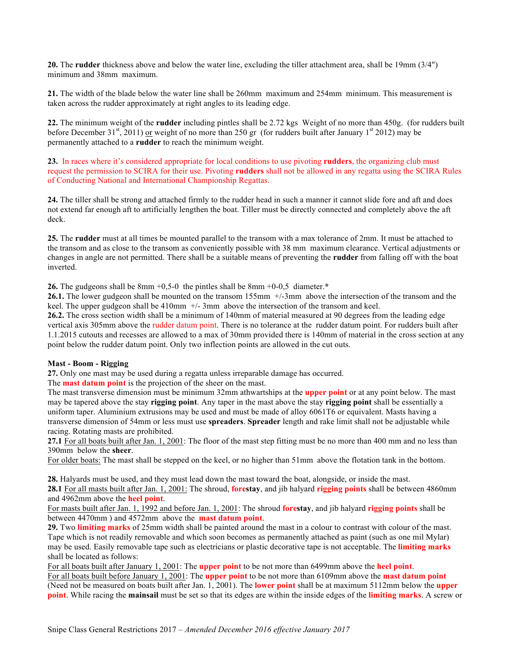**20.** The **rudder** thickness above and below the water line, excluding the tiller attachment area, shall be 19mm (3/4") minimum and 38mm maximum.

**21.** The width of the blade below the water line shall be 260mm maximum and 254mm minimum. This measurement is taken across the rudder approximately at right angles to its leading edge.

**22.** The minimum weight of the **rudder** including pintles shall be 2.72 kgs Weight of no more than 450g. (for rudders built before December 31<sup>st</sup>, 2011) or weight of no more than 250 gr (for rudders built after January 1<sup>st</sup> 2012) may be permanently attached to a **rudder** to reach the minimum weight.

**23.** In races where it's considered appropriate for local conditions to use pivoting **rudders**, the organizing club must request the permission to SCIRA for their use. Pivoting **rudders** shall not be allowed in any regatta using the SCIRA Rules of Conducting National and International Championship Regattas.

**24.** The tiller shall be strong and attached firmly to the rudder head in such a manner it cannot slide fore and aft and does not extend far enough aft to artificially lengthen the boat. Tiller must be directly connected and completely above the aft deck.

**25.** The **rudder** must at all times be mounted parallel to the transom with a max tolerance of 2mm. It must be attached to the transom and as close to the transom as conveniently possible with 38 mm maximum clearance. Vertical adjustments or changes in angle are not permitted. There shall be a suitable means of preventing the **rudder** from falling off with the boat inverted.

**26.** The gudgeons shall be 8mm +0,5-0 the pintles shall be 8mm +0-0,5 diameter.**\*** 

**26.1.** The lower gudgeon shall be mounted on the transom 155mm +/-3mm above the intersection of the transom and the keel. The upper gudgeon shall be 410mm +/- 3mm above the intersection of the transom and keel.

**26.2.** The cross section width shall be a minimum of 140mm of material measured at 90 degrees from the leading edge vertical axis 305mm above the rudder datum point. There is no tolerance at the rudder datum point. For rudders built after 1.1.2015 cutouts and recesses are allowed to a max of 30mm provided there is 140mm of material in the cross section at any point below the rudder datum point. Only two inflection points are allowed in the cut outs.

#### **Mast - Boom - Rigging**

**27.** Only one mast may be used during a regatta unless irreparable damage has occurred.

The **mast datum point** is the projection of the sheer on the mast.

The mast transverse dimension must be minimum 32mm athwartships at the **upper point** or at any point below. The mast may be tapered above the stay **rigging point**. Any taper in the mast above the stay **rigging point** shall be essentially a uniform taper. Aluminium extrusions may be used and must be made of alloy 6061T6 or equivalent. Masts having a transverse dimension of 54mm or less must use **spreaders**. **Spreader** length and rake limit shall not be adjustable while racing. Rotating masts are prohibited.

**27.1** For all boats built after Jan. 1, 2001: The floor of the mast step fitting must be no more than 400 mm and no less than 390mm below the **sheer**.

For older boats: The mast shall be stepped on the keel, or no higher than 51mm above the flotation tank in the bottom.

**28.** Halyards must be used, and they must lead down the mast toward the boat, alongside, or inside the mast. **28.1** For all masts built after Jan. 1, 2001: The shroud, **forestay**, and jib halyard **rigging points** shall be between 4860mm and 4962mm above the **heel point**.

For masts built after Jan. 1, 1992 and before Jan. 1, 2001: The shroud **forestay**, and jib halyard **rigging points** shall be between 4470mm ) and 4572mm above the **mast datum point**.

**29.** Two **limiting marks** of 25mm width shall be painted around the mast in a colour to contrast with colour of the mast. Tape which is not readily removable and which soon becomes as permanently attached as paint (such as one mil Mylar) may be used. Easily removable tape such as electricians or plastic decorative tape is not acceptable. The **limiting marks** shall be located as follows:

For all boats built after January 1, 2001: The **upper point** to be not more than 6499mm above the **heel point**. For all boats built before January 1, 2001: The **upper point** to be not more than 6109mm above the **mast datum point** (Need not be measured on boats built after Jan. 1, 2001). The **lower point** shall be at maximum 5112mm below the **upper point**. While racing the **mainsail** must be set so that its edges are within the inside edges of the **limiting marks**. A screw or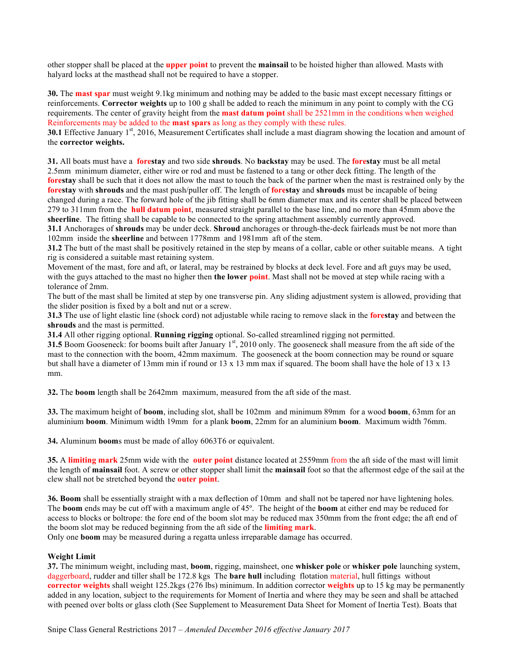other stopper shall be placed at the **upper point** to prevent the **mainsail** to be hoisted higher than allowed. Masts with halyard locks at the masthead shall not be required to have a stopper.

**30.** The **mast spar** must weight 9.1kg minimum and nothing may be added to the basic mast except necessary fittings or reinforcements. **Corrector weights** up to 100 g shall be added to reach the minimum in any point to comply with the CG requirements. The center of gravity height from the **mast datum point** shall be 2521mm in the conditions when weighed Reinforcements may be added to the **mast spars** as long as they comply with these rules.

**30.1** Effective January 1<sup>st</sup>, 2016, Measurement Certificates shall include a mast diagram showing the location and amount of the **corrector weights.**

**31.** All boats must have a **forestay** and two side **shrouds**. No **backstay** may be used. The **forestay** must be all metal 2.5mm minimum diameter, either wire or rod and must be fastened to a tang or other deck fitting. The length of the **forestay** shall be such that it does not allow the mast to touch the back of the partner when the mast is restrained only by the **forestay** with **shrouds** and the mast push/puller off. The length of **forestay** and **shrouds** must be incapable of being changed during a race. The forward hole of the jib fitting shall be 6mm diameter max and its center shall be placed between 279 to 311mm from the **hull datum point**, measured straight parallel to the base line, and no more than 45mm above the **sheerline**. The fitting shall be capable to be connected to the spring attachment assembly currently approved.

**31.1** Anchorages of **shrouds** may be under deck. **Shroud** anchorages or through-the-deck fairleads must be not more than 102mm inside the **sheerline** and between 1778mm and 1981mm aft of the stem.

**31.2** The butt of the mast shall be positively retained in the step by means of a collar, cable or other suitable means. A tight rig is considered a suitable mast retaining system.

Movement of the mast, fore and aft, or lateral, may be restrained by blocks at deck level. Fore and aft guys may be used, with the guys attached to the mast no higher then **the lower point**. Mast shall not be moved at step while racing with a tolerance of 2mm.

The butt of the mast shall be limited at step by one transverse pin. Any sliding adjustment system is allowed, providing that the slider position is fixed by a bolt and nut or a screw.

**31.3** The use of light elastic line (shock cord) not adjustable while racing to remove slack in the **forestay** and between the **shrouds** and the mast is permitted.

**31.4** All other rigging optional. **Running rigging** optional. So-called streamlined rigging not permitted.

**31.5** Boom Gooseneck: for booms built after January 1<sup>st</sup>, 2010 only. The gooseneck shall measure from the aft side of the mast to the connection with the boom, 42mm maximum. The gooseneck at the boom connection may be round or square but shall have a diameter of 13mm min if round or 13 x 13 mm max if squared. The boom shall have the hole of 13 x 13 mm.

**32.** The **boom** length shall be 2642mm maximum, measured from the aft side of the mast.

**33.** The maximum height of **boom**, including slot, shall be 102mm and minimum 89mm for a wood **boom**, 63mm for an aluminium **boom**. Minimum width 19mm for a plank **boom**, 22mm for an aluminium **boom**. Maximum width 76mm.

**34.** Aluminum **boom**s must be made of alloy 6063T6 or equivalent.

**35.** A **limiting mark** 25mm wide with the **outer point** distance located at 2559mm from the aft side of the mast will limit the length of **mainsail** foot. A screw or other stopper shall limit the **mainsail** foot so that the aftermost edge of the sail at the clew shall not be stretched beyond the **outer point**.

**36. Boom** shall be essentially straight with a max deflection of 10mm and shall not be tapered nor have lightening holes. The **boom** ends may be cut off with a maximum angle of 45º. The height of the **boom** at either end may be reduced for access to blocks or boltrope: the fore end of the boom slot may be reduced max 350mm from the front edge; the aft end of the boom slot may be reduced beginning from the aft side of the **limiting mark**.

Only one **boom** may be measured during a regatta unless irreparable damage has occurred.

### **Weight Limit**

**37.** The minimum weight, including mast, **boom**, rigging, mainsheet, one **whisker pole** or **whisker pole** launching system, daggerboard, rudder and tiller shall be 172.8 kgs The **bare hull** including flotation material, hull fittings without **corrector weights** shall weight 125.2kgs (276 lbs) minimum. In addition corrector **weights** up to 15 kg may be permanently added in any location, subject to the requirements for Moment of Inertia and where they may be seen and shall be attached with peened over bolts or glass cloth (See Supplement to Measurement Data Sheet for Moment of Inertia Test). Boats that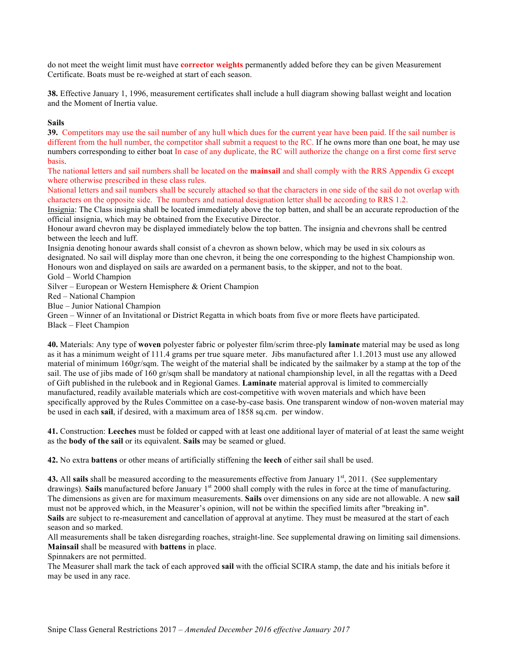do not meet the weight limit must have **corrector weights** permanently added before they can be given Measurement Certificate. Boats must be re-weighed at start of each season.

**38.** Effective January 1, 1996, measurement certificates shall include a hull diagram showing ballast weight and location and the Moment of Inertia value.

### **Sails**

**39.** Competitors may use the sail number of any hull which dues for the current year have been paid. If the sail number is different from the hull number, the competitor shall submit a request to the RC. If he owns more than one boat, he may use numbers corresponding to either boat In case of any duplicate, the RC will authorize the change on a first come first serve basis.

The national letters and sail numbers shall be located on the **mainsail** and shall comply with the RRS Appendix G except where otherwise prescribed in these class rules.

National letters and sail numbers shall be securely attached so that the characters in one side of the sail do not overlap with characters on the opposite side. The numbers and national designation letter shall be according to RRS 1.2.

Insignia: The Class insignia shall be located immediately above the top batten, and shall be an accurate reproduction of the official insignia, which may be obtained from the Executive Director.

Honour award chevron may be displayed immediately below the top batten. The insignia and chevrons shall be centred between the leech and luff.

Insignia denoting honour awards shall consist of a chevron as shown below, which may be used in six colours as designated. No sail will display more than one chevron, it being the one corresponding to the highest Championship won. Honours won and displayed on sails are awarded on a permanent basis, to the skipper, and not to the boat.

Gold – World Champion

Silver – European or Western Hemisphere & Orient Champion

Red – National Champion

Blue – Junior National Champion

Green – Winner of an Invitational or District Regatta in which boats from five or more fleets have participated.

Black – Fleet Champion

**40.** Materials: Any type of **woven** polyester fabric or polyester film/scrim three-ply **laminate** material may be used as long as it has a minimum weight of 111.4 grams per true square meter. Jibs manufactured after 1.1.2013 must use any allowed material of minimum 160gr/sqm. The weight of the material shall be indicated by the sailmaker by a stamp at the top of the sail. The use of jibs made of 160 gr/sqm shall be mandatory at national championship level, in all the regattas with a Deed of Gift published in the rulebook and in Regional Games. **Laminate** material approval is limited to commercially manufactured, readily available materials which are cost-competitive with woven materials and which have been specifically approved by the Rules Committee on a case-by-case basis. One transparent window of non-woven material may be used in each **sail**, if desired, with a maximum area of 1858 sq.cm. per window.

**41.** Construction: **Leeches** must be folded or capped with at least one additional layer of material of at least the same weight as the **body of the sail** or its equivalent. **Sails** may be seamed or glued.

**42.** No extra **battens** or other means of artificially stiffening the **leech** of either sail shall be used.

**43.** All sails shall be measured according to the measurements effective from January 1<sup>st</sup>, 2011. (See supplementary drawings). **Sails** manufactured before January 1<sup>st</sup> 2000 shall comply with the rules in force at the time of manufacturing. The dimensions as given are for maximum measurements. **Sails** over dimensions on any side are not allowable. A new **sail** must not be approved which, in the Measurer's opinion, will not be within the specified limits after "breaking in". **Sails** are subject to re-measurement and cancellation of approval at anytime. They must be measured at the start of each season and so marked.

All measurements shall be taken disregarding roaches, straight-line. See supplemental drawing on limiting sail dimensions. **Mainsail** shall be measured with **battens** in place.

Spinnakers are not permitted.

The Measurer shall mark the tack of each approved **sail** with the official SCIRA stamp, the date and his initials before it may be used in any race.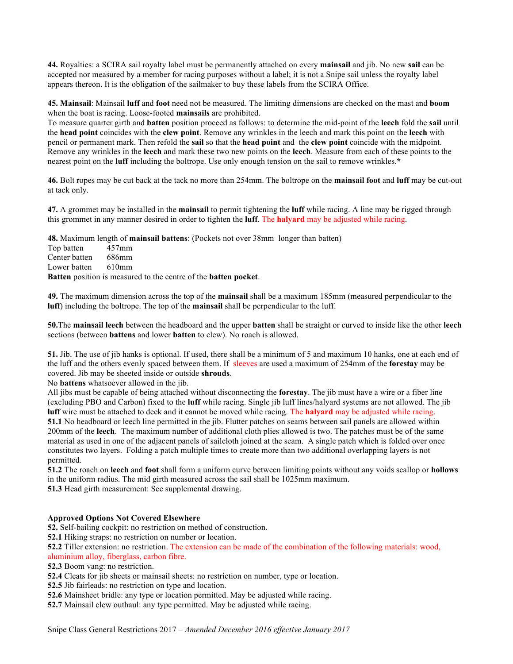**44.** Royalties: a SCIRA sail royalty label must be permanently attached on every **mainsail** and jib. No new **sail** can be accepted nor measured by a member for racing purposes without a label; it is not a Snipe sail unless the royalty label appears thereon. It is the obligation of the sailmaker to buy these labels from the SCIRA Office.

**45. Mainsail**: Mainsail **luff** and **foot** need not be measured. The limiting dimensions are checked on the mast and **boom** when the boat is racing. Loose-footed **mainsails** are prohibited.

To measure quarter girth and **batten** position proceed as follows: to determine the mid-point of the **leech** fold the **sail** until the **head point** coincides with the **clew point**. Remove any wrinkles in the leech and mark this point on the **leech** with pencil or permanent mark. Then refold the **sail** so that the **head point** and the **clew point** coincide with the midpoint. Remove any wrinkles in the **leech** and mark these two new points on the **leech**. Measure from each of these points to the nearest point on the **luff** including the boltrope. Use only enough tension on the sail to remove wrinkles.**\***

**46.** Bolt ropes may be cut back at the tack no more than 254mm. The boltrope on the **mainsail foot** and **luff** may be cut-out at tack only.

**47.** A grommet may be installed in the **mainsail** to permit tightening the **luff** while racing. A line may be rigged through this grommet in any manner desired in order to tighten the **luff**. The **halyard** may be adjusted while racing.

**48.** Maximum length of **mainsail battens**: (Pockets not over 38mm longer than batten)

Top batten 457mm Center batten 686mm Lower batten 610mm

**Batten** position is measured to the centre of the **batten pocket**.

**49.** The maximum dimension across the top of the **mainsail** shall be a maximum 185mm (measured perpendicular to the **luff**) including the boltrope. The top of the **mainsail** shall be perpendicular to the luff.

**50.**The **mainsail leech** between the headboard and the upper **batten** shall be straight or curved to inside like the other **leech** sections (between **battens** and lower **batten** to clew). No roach is allowed.

**51.** Jib. The use of jib hanks is optional. If used, there shall be a minimum of 5 and maximum 10 hanks, one at each end of the luff and the others evenly spaced between them. If sleeves are used a maximum of 254mm of the **forestay** may be covered. Jib may be sheeted inside or outside **shrouds**.

No **battens** whatsoever allowed in the jib.

All jibs must be capable of being attached without disconnecting the **forestay**. The jib must have a wire or a fiber line (excluding PBO and Carbon) fixed to the **luff** while racing. Single jib luff lines/halyard systems are not allowed. The jib **luff** wire must be attached to deck and it cannot be moved while racing. The **halyard** may be adjusted while racing. **51.1** No headboard or leech line permitted in the jib. Flutter patches on seams between sail panels are allowed within 200mm of the **leech**. The maximum number of additional cloth plies allowed is two. The patches must be of the same material as used in one of the adjacent panels of sailcloth joined at the seam. A single patch which is folded over once constitutes two layers. Folding a patch multiple times to create more than two additional overlapping layers is not permitted.

**51.2** The roach on **leech** and **foot** shall form a uniform curve between limiting points without any voids scallop or **hollows** in the uniform radius. The mid girth measured across the sail shall be 1025mm maximum.

**51.3** Head girth measurement: See supplemental drawing.

# **Approved Options Not Covered Elsewhere**

**52.** Self-bailing cockpit: no restriction on method of construction.

**52.1** Hiking straps: no restriction on number or location.

**52.2** Tiller extension: no restriction. The extension can be made of the combination of the following materials: wood, aluminium alloy, fiberglass, carbon fibre.

- **52.3** Boom vang: no restriction.
- **52.4** Cleats for jib sheets or mainsail sheets: no restriction on number, type or location.
- **52.5** Jib fairleads: no restriction on type and location.
- **52.6** Mainsheet bridle: any type or location permitted. May be adjusted while racing.
- **52.7** Mainsail clew outhaul: any type permitted. May be adjusted while racing.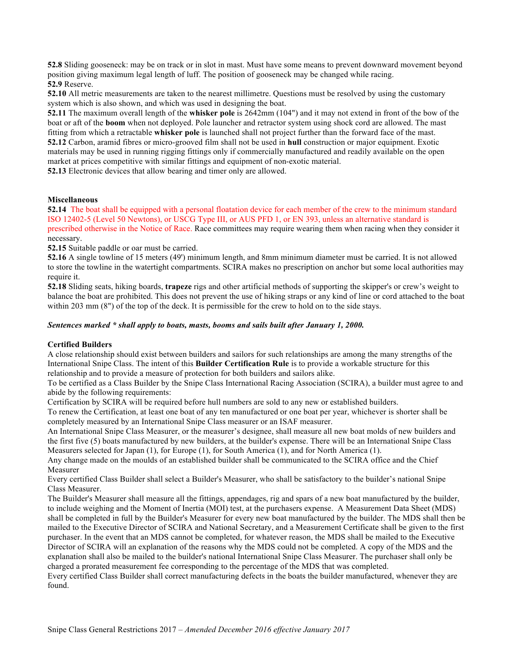**52.8** Sliding gooseneck: may be on track or in slot in mast. Must have some means to prevent downward movement beyond position giving maximum legal length of luff. The position of gooseneck may be changed while racing. **52.9** Reserve.

**52.10** All metric measurements are taken to the nearest millimetre. Questions must be resolved by using the customary system which is also shown, and which was used in designing the boat.

**52.11** The maximum overall length of the **whisker pole** is 2642mm (104") and it may not extend in front of the bow of the boat or aft of the **boom** when not deployed. Pole launcher and retractor system using shock cord are allowed. The mast fitting from which a retractable **whisker pole** is launched shall not project further than the forward face of the mast. **52.12** Carbon, aramid fibres or micro-grooved film shall not be used in **hull** construction or major equipment. Exotic materials may be used in running rigging fittings only if commercially manufactured and readily available on the open market at prices competitive with similar fittings and equipment of non-exotic material.

**52.13** Electronic devices that allow bearing and timer only are allowed.

#### **Miscellaneous**

**52.14** The boat shall be equipped with a personal floatation device for each member of the crew to the minimum standard ISO 12402-5 (Level 50 Newtons), or USCG Type III, or AUS PFD 1, or EN 393, unless an alternative standard is prescribed otherwise in the Notice of Race. Race committees may require wearing them when racing when they consider it necessary.

**52.15** Suitable paddle or oar must be carried.

**52.16** A single towline of 15 meters (49') minimum length, and 8mm minimum diameter must be carried. It is not allowed to store the towline in the watertight compartments. SCIRA makes no prescription on anchor but some local authorities may require it.

**52.18** Sliding seats, hiking boards, **trapeze** rigs and other artificial methods of supporting the skipper's or crew's weight to balance the boat are prohibited. This does not prevent the use of hiking straps or any kind of line or cord attached to the boat within 203 mm (8") of the top of the deck. It is permissible for the crew to hold on to the side stays.

#### *Sentences marked \* shall apply to boats, masts, booms and sails built after January 1, 2000.*

#### **Certified Builders**

A close relationship should exist between builders and sailors for such relationships are among the many strengths of the International Snipe Class. The intent of this **Builder Certification Rule** is to provide a workable structure for this relationship and to provide a measure of protection for both builders and sailors alike.

To be certified as a Class Builder by the Snipe Class International Racing Association (SCIRA), a builder must agree to and abide by the following requirements:

Certification by SCIRA will be required before hull numbers are sold to any new or established builders.

To renew the Certification, at least one boat of any ten manufactured or one boat per year, whichever is shorter shall be completely measured by an International Snipe Class measurer or an ISAF measurer.

An International Snipe Class Measurer, or the measurer's designee, shall measure all new boat molds of new builders and the first five (5) boats manufactured by new builders, at the builder's expense. There will be an International Snipe Class Measurers selected for Japan (1), for Europe (1), for South America (1), and for North America (1).

Any change made on the moulds of an established builder shall be communicated to the SCIRA office and the Chief Measurer

Every certified Class Builder shall select a Builder's Measurer, who shall be satisfactory to the builder's national Snipe Class Measurer.

The Builder's Measurer shall measure all the fittings, appendages, rig and spars of a new boat manufactured by the builder, to include weighing and the Moment of Inertia (MOI) test, at the purchasers expense. A Measurement Data Sheet (MDS) shall be completed in full by the Builder's Measurer for every new boat manufactured by the builder. The MDS shall then be mailed to the Executive Director of SCIRA and National Secretary, and a Measurement Certificate shall be given to the first purchaser. In the event that an MDS cannot be completed, for whatever reason, the MDS shall be mailed to the Executive Director of SCIRA will an explanation of the reasons why the MDS could not be completed. A copy of the MDS and the explanation shall also be mailed to the builder's national International Snipe Class Measurer. The purchaser shall only be charged a prorated measurement fee corresponding to the percentage of the MDS that was completed.

Every certified Class Builder shall correct manufacturing defects in the boats the builder manufactured, whenever they are found.